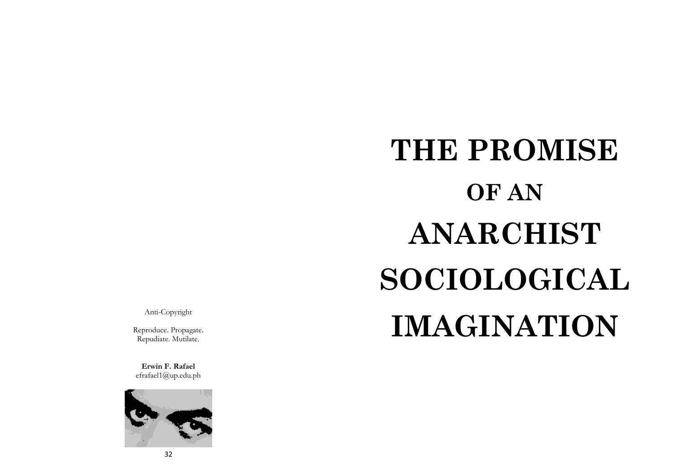# **THE PROMISE OF AN ANARCHIST SOCIOLOGICAL IMAGINATION**

Anti-Copyright

Reproduce. Propagate. Repudiate. Mutilate.

**Erwin F. Rafael** efrafael1@up.edu.ph

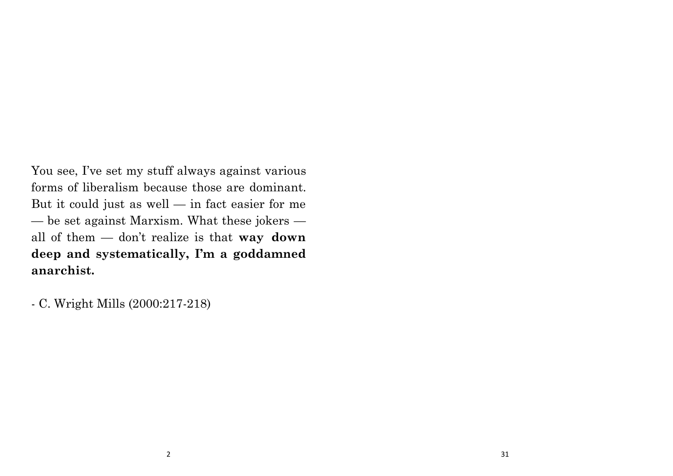You see, I've set my stuff always against various forms of liberalism because those are dominant. But it could just as well — in fact easier for me — be set against Marxism. What these jokers all of them — don't realize is that **way down deep and systematically, I'm a goddamned anarchist.**

- C. Wright Mills (2000:217-218)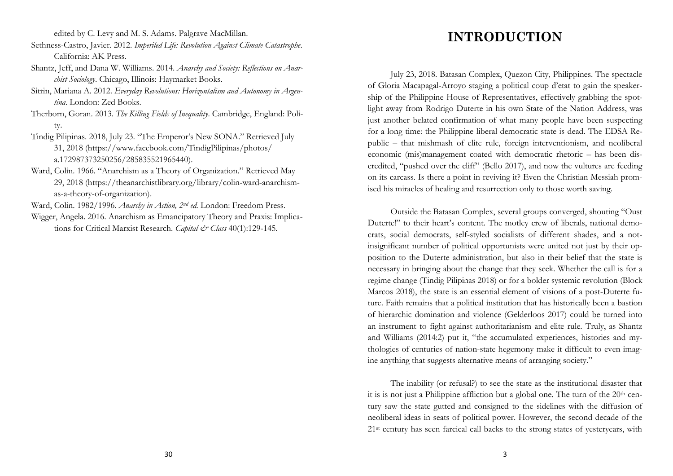edited by C. Levy and M. S. Adams. Palgrave MacMillan.

- Sethness-Castro, Javier. 2012. *Imperiled Life: Revolution Against Climate Catastrophe*. California: AK Press.
- Shantz, Jeff, and Dana W. Williams. 2014. *Anarchy and Society: Reflections on Anarchist Sociology*. Chicago, Illinois: Haymarket Books.
- Sitrin, Mariana A. 2012. *Everyday Revolutions: Horizontalism and Autonomy in Argentina*. London: Zed Books.
- Therborn, Goran. 2013. *The Killing Fields of Inequality*. Cambridge, England: Polity.
- Tindig Pilipinas. 2018, July 23. "The Emperor's New SONA." Retrieved July 31, 2018 (https://www.facebook.com/TindigPilipinas/photos/ a.172987373250256/285835521965440).
- Ward, Colin. 1966. "Anarchism as a Theory of Organization." Retrieved May 29, 2018 (https://theanarchistlibrary.org/library/colin-ward-anarchismas-a-theory-of-organization).

Ward, Colin. 1982/1996. *Anarchy in Action, 2nd ed.* London: Freedom Press.

Wigger, Angela. 2016. Anarchism as Emancipatory Theory and Praxis: Implications for Critical Marxist Research. *Capital & Class* 40(1):129-145.

# **INTRODUCTION**

July 23, 2018. Batasan Complex, Quezon City, Philippines. The spectacle of Gloria Macapagal-Arroyo staging a political coup d'etat to gain the speakership of the Philippine House of Representatives, effectively grabbing the spotlight away from Rodrigo Duterte in his own State of the Nation Address, was just another belated confirmation of what many people have been suspecting for a long time: the Philippine liberal democratic state is dead. The EDSA Republic – that mishmash of elite rule, foreign interventionism, and neoliberal economic (mis)management coated with democratic rhetoric – has been discredited, "pushed over the cliff" (Bello 2017), and now the vultures are feeding on its carcass. Is there a point in reviving it? Even the Christian Messiah promised his miracles of healing and resurrection only to those worth saving.

Outside the Batasan Complex, several groups converged, shouting "Oust Duterte!" to their heart's content. The motley crew of liberals, national democrats, social democrats, self-styled socialists of different shades, and a notinsignificant number of political opportunists were united not just by their opposition to the Duterte administration, but also in their belief that the state is necessary in bringing about the change that they seek. Whether the call is for a regime change (Tindig Pilipinas 2018) or for a bolder systemic revolution (Block Marcos 2018), the state is an essential element of visions of a post-Duterte future. Faith remains that a political institution that has historically been a bastion of hierarchic domination and violence (Gelderloos 2017) could be turned into an instrument to fight against authoritarianism and elite rule. Truly, as Shantz and Williams (2014:2) put it, "the accumulated experiences, histories and mythologies of centuries of nation-state hegemony make it difficult to even imagine anything that suggests alternative means of arranging society."

The inability (or refusal?) to see the state as the institutional disaster that it is is not just a Philippine affliction but a global one. The turn of the 20<sup>th</sup> century saw the state gutted and consigned to the sidelines with the diffusion of neoliberal ideas in seats of political power. However, the second decade of the 21st century has seen farcical call backs to the strong states of yesteryears, with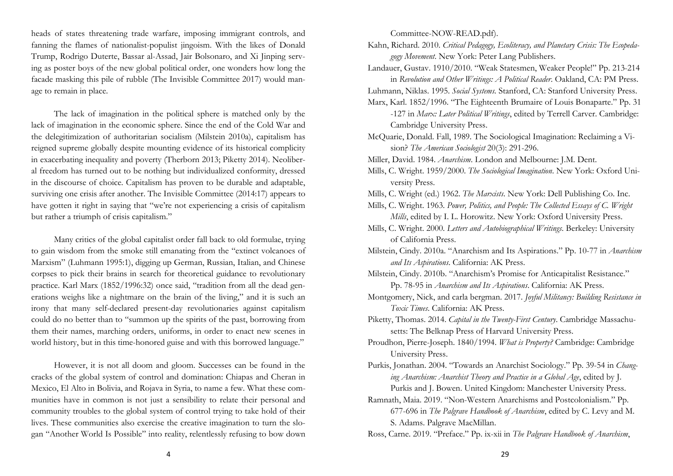heads of states threatening trade warfare, imposing immigrant controls, and fanning the flames of nationalist-populist jingoism. With the likes of Donald Trump, Rodrigo Duterte, Bassar al-Assad, Jair Bolsonaro, and Xi Jinping serving as poster boys of the new global political order, one wonders how long the facade masking this pile of rubble (The Invisible Committee 2017) would manage to remain in place.

The lack of imagination in the political sphere is matched only by the lack of imagination in the economic sphere. Since the end of the Cold War and the delegitimization of authoritarian socialism (Milstein 2010a), capitalism has reigned supreme globally despite mounting evidence of its historical complicity in exacerbating inequality and poverty (Therborn 2013; Piketty 2014). Neoliberal freedom has turned out to be nothing but individualized conformity, dressed in the discourse of choice. Capitalism has proven to be durable and adaptable, surviving one crisis after another. The Invisible Committee (2014:17) appears to have gotten it right in saying that "we're not experiencing a crisis of capitalism but rather a triumph of crisis capitalism."

Many critics of the global capitalist order fall back to old formulae, trying to gain wisdom from the smoke still emanating from the "extinct volcanoes of Marxism" (Luhmann 1995:1), digging up German, Russian, Italian, and Chinese corpses to pick their brains in search for theoretical guidance to revolutionary practice. Karl Marx (1852/1996:32) once said, "tradition from all the dead generations weighs like a nightmare on the brain of the living," and it is such an irony that many self-declared present-day revolutionaries against capitalism could do no better than to "summon up the spirits of the past, borrowing from them their names, marching orders, uniforms, in order to enact new scenes in world history, but in this time-honored guise and with this borrowed language."

However, it is not all doom and gloom. Successes can be found in the cracks of the global system of control and domination: Chiapas and Cheran in Mexico, El Alto in Bolivia, and Rojava in Syria, to name a few. What these communities have in common is not just a sensibility to relate their personal and community troubles to the global system of control trying to take hold of their lives. These communities also exercise the creative imagination to turn the slogan "Another World Is Possible" into reality, relentlessly refusing to bow down

Committee-NOW-READ.pdf).

Kahn, Richard. 2010. *Critical Pedagogy, Ecoliteracy, and Planetary Crisis: The Ecopedagogy Movement*. New York: Peter Lang Publishers.

Landauer, Gustav. 1910/2010. "Weak Statesmen, Weaker People!" Pp. 213-214 in *Revolution and Other Writings: A Political Reader*. Oakland, CA: PM Press.

Luhmann, Niklas. 1995. *Social Systems.* Stanford, CA: Stanford University Press.

Marx, Karl. 1852/1996. "The Eighteenth Brumaire of Louis Bonaparte." Pp. 31 -127 in *Marx: Later Political Writings*, edited by Terrell Carver. Cambridge: Cambridge University Press.

McQuarie, Donald. Fall, 1989. The Sociological Imagination: Reclaiming a Vision? *The American Sociologist* 20(3): 291-296.

Miller, David. 1984. *Anarchism*. London and Melbourne: J.M. Dent.

Mills, C. Wright. 1959/2000. *The Sociological Imagination*. New York: Oxford University Press.

Mills, C. Wright (ed.) 1962. *The Marxists*. New York: Dell Publishing Co. Inc.

- Mills, C. Wright. 1963. *Power, Politics, and People: The Collected Essays of C. Wright Mills*, edited by I. L. Horowitz. New York: Oxford University Press.
- Mills, C. Wright. 2000. *Letters and Autobiographical Writings*. Berkeley: University of California Press.
- Milstein, Cindy. 2010a. "Anarchism and Its Aspirations." Pp. 10-77 in *Anarchism and Its Aspirations*. California: AK Press.

Milstein, Cindy. 2010b. "Anarchism's Promise for Anticapitalist Resistance." Pp. 78-95 in *Anarchism and Its Aspirations*. California: AK Press.

Montgomery, Nick, and carla bergman. 2017. *Joyful Militancy: Building Resistance in Toxic Times*. California: AK Press.

- Piketty, Thomas. 2014. *Capital in the Twenty-First Century*. Cambridge Massachusetts: The Belknap Press of Harvard University Press.
- Proudhon, Pierre-Joseph. 1840/1994. *What is Property?* Cambridge: Cambridge University Press.

Purkis, Jonathan. 2004. "Towards an Anarchist Sociology." Pp. 39-54 in *Changing Anarchism: Anarchist Theory and Practice in a Global Age*, edited by J. Purkis and J. Bowen. United Kingdom: Manchester University Press.

Ross, Carne. 2019. "Preface." Pp. ix-xii in *The Palgrave Handbook of Anarchism*,

Ramnath, Maia. 2019. "Non-Western Anarchisms and Postcolonialism." Pp. 677-696 in *The Palgrave Handbook of Anarchism*, edited by C. Levy and M. S. Adams. Palgrave MacMillan.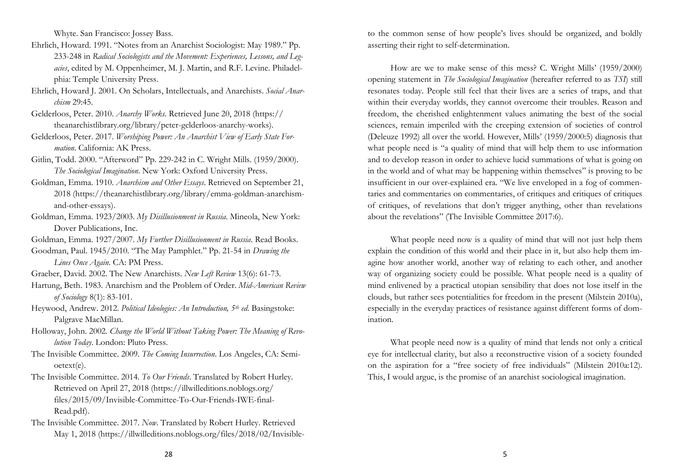Whyte. San Francisco: Jossey Bass.

- Ehrlich, Howard. 1991. "Notes from an Anarchist Sociologist: May 1989." Pp. 233-248 in *Radical Sociologists and the Movement: Experiences, Lessons, and Legacies*, edited by M. Oppenheimer, M. J. Martin, and R.F. Levine. Philadelphia: Temple University Press.
- Ehrlich, Howard J. 2001. On Scholars, Intellectuals, and Anarchists. *Social Anarchism* 29:45.
- Gelderloos, Peter. 2010. *Anarchy Works*. Retrieved June 20, 2018 (https:// theanarchistlibrary.org/library/peter-gelderloos-anarchy-works).
- Gelderloos, Peter. 2017. *Worshiping Power: An Anarchist View of Early State Formation*. California: AK Press.
- Gitlin, Todd. 2000. "Afterword" Pp. 229-242 in C. Wright Mills. (1959/2000). *The Sociological Imagination*. New York: Oxford University Press.
- Goldman, Emma. 1910. *Anarchism and Other Essays*. Retrieved on September 21, 2018 (https://theanarchistlibrary.org/library/emma-goldman-anarchismand-other-essays).
- Goldman, Emma. 1923/2003. *My Disillusionment in Russia*. Mineola, New York: Dover Publications, Inc.
- Goldman, Emma. 1927/2007. *My Further Disillusionment in Russia*. Read Books.

Goodman, Paul. 1945/2010. "The May Pamphlet." Pp. 21-54 in *Drawing the Lines Once Again*. CA: PM Press.

- Graeber, David. 2002. The New Anarchists. *New Left Review* 13(6): 61-73.
- Hartung, Beth. 1983. Anarchism and the Problem of Order. *Mid-American Review of Sociology* 8(1): 83-101.
- Heywood, Andrew. 2012. *Political Ideologies: An Introduction, 5th ed*. Basingstoke: Palgrave MacMillan.
- Holloway, John. 2002. *Change the World Without Taking Power: The Meaning of Revolution Today*. London: Pluto Press.
- The Invisible Committee. 2009. *The Coming Insurrection*. Los Angeles, CA: Semioetext(e).
- The Invisible Committee. 2014. *To Our Friends*. Translated by Robert Hurley. Retrieved on April 27, 2018 (https://illwilleditions.noblogs.org/ files/2015/09/Invisible-Committee-To-Our-Friends-IWE-final-Read.pdf).
- The Invisible Committee. 2017. *Now*. Translated by Robert Hurley. Retrieved May 1, 2018 (https://illwilleditions.noblogs.org/files/2018/02/Invisible-

to the common sense of how people's lives should be organized, and boldly asserting their right to self-determination.

How are we to make sense of this mess? C. Wright Mills' (1959/2000) opening statement in *The Sociological Imagination* (hereafter referred to as *TSI*) still resonates today. People still feel that their lives are a series of traps, and that within their everyday worlds, they cannot overcome their troubles. Reason and freedom, the cherished enlightenment values animating the best of the social sciences, remain imperiled with the creeping extension of societies of control (Deleuze 1992) all over the world. However, Mills' (1959/2000:5) diagnosis that what people need is "a quality of mind that will help them to use information and to develop reason in order to achieve lucid summations of what is going on in the world and of what may be happening within themselves" is proving to be insufficient in our over-explained era. "We live enveloped in a fog of commentaries and commentaries on commentaries, of critiques and critiques of critiques of critiques, of revelations that don't trigger anything, other than revelations about the revelations" (The Invisible Committee 2017:6).

What people need now is a quality of mind that will not just help them explain the condition of this world and their place in it, but also help them imagine how another world, another way of relating to each other, and another way of organizing society could be possible. What people need is a quality of mind enlivened by a practical utopian sensibility that does not lose itself in the clouds, but rather sees potentialities for freedom in the present (Milstein 2010a), especially in the everyday practices of resistance against different forms of domination.

What people need now is a quality of mind that lends not only a critical eye for intellectual clarity, but also a reconstructive vision of a society founded on the aspiration for a "free society of free individuals" (Milstein 2010a:12). This, I would argue, is the promise of an anarchist sociological imagination.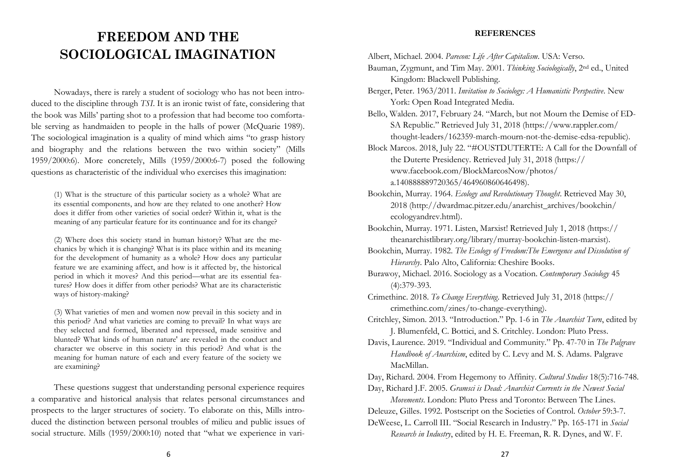## **REFERENCES**

# **FREEDOM AND THE SOCIOLOGICAL IMAGINATION**

Nowadays, there is rarely a student of sociology who has not been introduced to the discipline through *TSI*. It is an ironic twist of fate, considering that the book was Mills' parting shot to a profession that had become too comfortable serving as handmaiden to people in the halls of power (McQuarie 1989). The sociological imagination is a quality of mind which aims "to grasp history and biography and the relations between the two within society" (Mills 1959/2000:6). More concretely, Mills (1959/2000:6-7) posed the following questions as characteristic of the individual who exercises this imagination:

(1) What is the structure of this particular society as a whole? What are its essential components, and how are they related to one another? How does it differ from other varieties of social order? Within it, what is the meaning of any particular feature for its continuance and for its change?

(2) Where does this society stand in human history? What are the mechanics by which it is changing? What is its place within and its meaning for the development of humanity as a whole? How does any particular feature we are examining affect, and how is it affected by, the historical period in which it moves? And this period—what are its essential features? How does it differ from other periods? What are its characteristic ways of history-making?

(3) What varieties of men and women now prevail in this society and in this period? And what varieties are coming to prevail? In what ways are they selected and formed, liberated and repressed, made sensitive and blunted? What kinds of human nature' are revealed in the conduct and character we observe in this society in this period? And what is the meaning for human nature of each and every feature of the society we are examining?

These questions suggest that understanding personal experience requires a comparative and historical analysis that relates personal circumstances and prospects to the larger structures of society. To elaborate on this, Mills introduced the distinction between personal troubles of milieu and public issues of social structure. Mills (1959/2000:10) noted that "what we experience in variAlbert, Michael. 2004. *Parecon: Life After Capitalism*. USA: Verso.

- Bauman, Zygmunt, and Tim May. 2001. *Thinking Sociologically*, 2nd ed., United Kingdom: Blackwell Publishing.
- Berger, Peter. 1963/2011. *Invitation to Sociology: A Humanistic Perspective*. New York: Open Road Integrated Media.
- Bello, Walden. 2017, February 24. "March, but not Mourn the Demise of ED-SA Republic." Retrieved July 31, 2018 (https://www.rappler.com/ thought-leaders/162359-march-mourn-not-the-demise-edsa-republic).

Block Marcos. 2018, July 22. "#OUSTDUTERTE: A Call for the Downfall of the Duterte Presidency. Retrieved July 31, 2018 (https:// www.facebook.com/BlockMarcosNow/photos/ a.140888889720365/464960860646498).

- Bookchin, Murray. 1964. *Ecology and Revolutionary Thought*. Retrieved May 30, 2018 (http://dwardmac.pitzer.edu/anarchist\_archives/bookchin/ ecologyandrev.html).
- Bookchin, Murray. 1971. Listen, Marxist! Retrieved July 1, 2018 (https:// theanarchistlibrary.org/library/murray-bookchin-listen-marxist).
- Bookchin, Murray. 1982. *The Ecology of Freedom:The Emergence and Dissolution of Hierarchy*. Palo Alto, California: Cheshire Books.
- Burawoy, Michael. 2016. Sociology as a Vocation. *Contemporary Sociology* 45 (4):379-393.
- Crimethinc. 2018. *To Change Everything*. Retrieved July 31, 2018 (https:// crimethinc.com/zines/to-change-everything).
- Critchley, Simon. 2013. "Introduction." Pp. 1-6 in *The Anarchist Turn*, edited by J. Blumenfeld, C. Bottici, and S. Critchley. London: Pluto Press.
- Davis, Laurence. 2019. "Individual and Community." Pp. 47-70 in *The Palgrave Handbook of Anarchism*, edited by C. Levy and M. S. Adams. Palgrave MacMillan.
- Day, Richard. 2004. From Hegemony to Affinity. *Cultural Studies* 18(5):716-748.
- Day, Richard J.F. 2005. *Gramsci is Dead: Anarchist Currents in the Newest Social Movements*. London: Pluto Press and Toronto: Between The Lines.

Deleuze, Gilles. 1992. Postscript on the Societies of Control. *October* 59:3-7.

DeWeese, L. Carroll III. "Social Research in Industry." Pp. 165-171 in *Social* 

*Research in Industry*, edited by H. E. Freeman, R. R. Dynes, and W. F.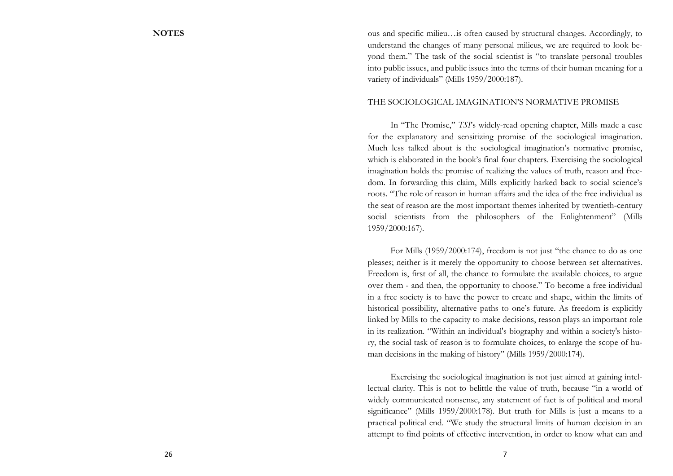ous and specific milieu…is often caused by structural changes. Accordingly, to understand the changes of many personal milieus, we are required to look beyond them." The task of the social scientist is "to translate personal troubles into public issues, and public issues into the terms of their human meaning for a variety of individuals" (Mills 1959/2000:187).

### THE SOCIOLOGICAL IMAGINATION'S NORMATIVE PROMISE

In "The Promise," *TSI*'s widely-read opening chapter, Mills made a case for the explanatory and sensitizing promise of the sociological imagination. Much less talked about is the sociological imagination's normative promise, which is elaborated in the book's final four chapters. Exercising the sociological imagination holds the promise of realizing the values of truth, reason and freedom. In forwarding this claim, Mills explicitly harked back to social science's roots. "The role of reason in human affairs and the idea of the free individual as the seat of reason are the most important themes inherited by twentieth-century social scientists from the philosophers of the Enlightenment" (Mills 1959/2000:167).

For Mills (1959/2000:174), freedom is not just "the chance to do as one pleases; neither is it merely the opportunity to choose between set alternatives. Freedom is, first of all, the chance to formulate the available choices, to argue over them - and then, the opportunity to choose." To become a free individual in a free society is to have the power to create and shape, within the limits of historical possibility, alternative paths to one's future. As freedom is explicitly linked by Mills to the capacity to make decisions, reason plays an important role in its realization. "Within an individual's biography and within a society's history, the social task of reason is to formulate choices, to enlarge the scope of human decisions in the making of history" (Mills 1959/2000:174).

Exercising the sociological imagination is not just aimed at gaining intellectual clarity. This is not to belittle the value of truth, because "in a world of widely communicated nonsense, any statement of fact is of political and moral significance" (Mills 1959/2000:178). But truth for Mills is just a means to a practical political end. "We study the structural limits of human decision in an attempt to find points of effective intervention, in order to know what can and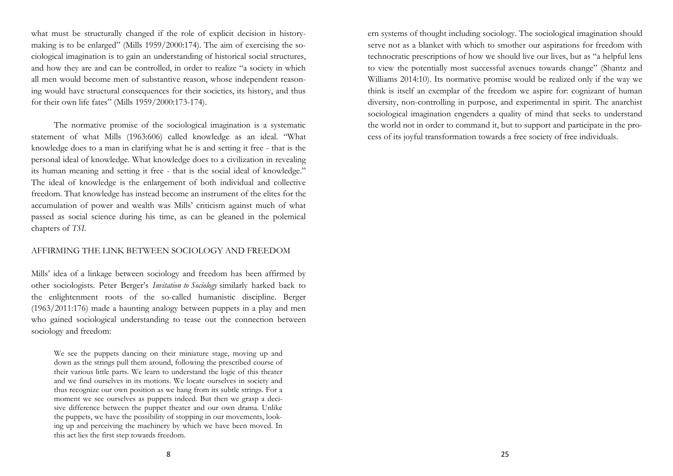what must be structurally changed if the role of explicit decision in historymaking is to be enlarged" (Mills 1959/2000:174). The aim of exercising the sociological imagination is to gain an understanding of historical social structures, and how they are and can be controlled, in order to realize "a society in which all men would become men of substantive reason, whose independent reasoning would have structural consequences for their societies, its history, and thus for their own life fates" (Mills 1959/2000:173-174).

The normative promise of the sociological imagination is a systematic statement of what Mills (1963:606) called knowledge as an ideal. "What knowledge does to a man in clarifying what he is and setting it free - that is the personal ideal of knowledge. What knowledge does to a civilization in revealing its human meaning and setting it free - that is the social ideal of knowledge." The ideal of knowledge is the enlargement of both individual and collective freedom. That knowledge has instead become an instrument of the elites for the accumulation of power and wealth was Mills' criticism against much of what passed as social science during his time, as can be gleaned in the polemical chapters of *TSI*.

## AFFIRMING THE LINK BETWEEN SOCIOLOGY AND FREEDOM

Mills' idea of a linkage between sociology and freedom has been affirmed by other sociologists. Peter Berger's *Invitation to Sociology* similarly harked back to the enlightenment roots of the so-called humanistic discipline. Berger (1963/2011:176) made a haunting analogy between puppets in a play and men who gained sociological understanding to tease out the connection between sociology and freedom:

We see the puppets dancing on their miniature stage, moving up and down as the strings pull them around, following the prescribed course of their various little parts. We learn to understand the logic of this theater and we find ourselves in its motions. We locate ourselves in society and thus recognize our own position as we hang from its subtle strings. For a moment we see ourselves as puppets indeed. But then we grasp a decisive difference between the puppet theater and our own drama. Unlike the puppets, we have the possibility of stopping in our movements, looking up and perceiving the machinery by which we have been moved. In this act lies the first step towards freedom.

ern systems of thought including sociology. The sociological imagination should serve not as a blanket with which to smother our aspirations for freedom with technocratic prescriptions of how we should live our lives, but as "a helpful lens to view the potentially most successful avenues towards change" (Shantz and Williams 2014:10). Its normative promise would be realized only if the way we think is itself an exemplar of the freedom we aspire for: cognizant of human diversity, non-controlling in purpose, and experimental in spirit. The anarchist sociological imagination engenders a quality of mind that seeks to understand the world not in order to command it, but to support and participate in the process of its joyful transformation towards a free society of free individuals.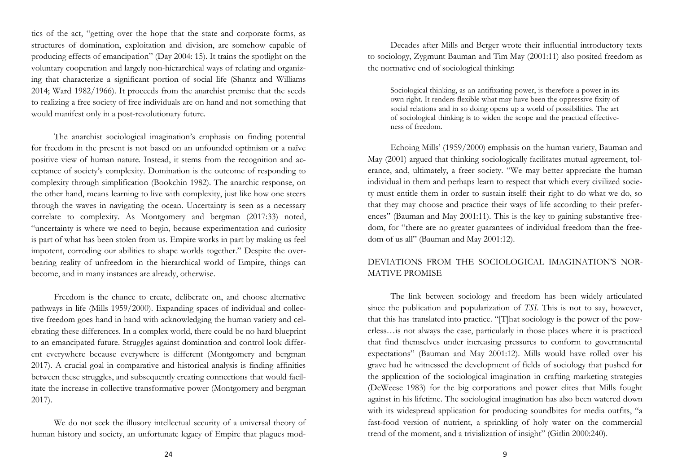tics of the act, "getting over the hope that the state and corporate forms, as structures of domination, exploitation and division, are somehow capable of producing effects of emancipation" (Day 2004: 15). It trains the spotlight on the voluntary cooperation and largely non-hierarchical ways of relating and organizing that characterize a significant portion of social life (Shantz and Williams 2014; Ward 1982/1966). It proceeds from the anarchist premise that the seeds to realizing a free society of free individuals are on hand and not something that would manifest only in a post-revolutionary future.

The anarchist sociological imagination's emphasis on finding potential for freedom in the present is not based on an unfounded optimism or a naïve positive view of human nature. Instead, it stems from the recognition and acceptance of society's complexity. Domination is the outcome of responding to complexity through simplification (Bookchin 1982). The anarchic response, on the other hand, means learning to live with complexity, just like how one steers through the waves in navigating the ocean. Uncertainty is seen as a necessary correlate to complexity. As Montgomery and bergman (2017:33) noted, "uncertainty is where we need to begin, because experimentation and curiosity is part of what has been stolen from us. Empire works in part by making us feel impotent, corroding our abilities to shape worlds together." Despite the overbearing reality of unfreedom in the hierarchical world of Empire, things can become, and in many instances are already, otherwise.

Freedom is the chance to create, deliberate on, and choose alternative pathways in life (Mills 1959/2000). Expanding spaces of individual and collective freedom goes hand in hand with acknowledging the human variety and celebrating these differences. In a complex world, there could be no hard blueprint to an emancipated future. Struggles against domination and control look different everywhere because everywhere is different (Montgomery and bergman 2017). A crucial goal in comparative and historical analysis is finding affinities between these struggles, and subsequently creating connections that would facilitate the increase in collective transformative power (Montgomery and bergman 2017).

We do not seek the illusory intellectual security of a universal theory of human history and society, an unfortunate legacy of Empire that plagues mod-

Decades after Mills and Berger wrote their influential introductory texts to sociology, Zygmunt Bauman and Tim May (2001:11) also posited freedom as the normative end of sociological thinking:

Sociological thinking, as an antifixating power, is therefore a power in its own right. It renders flexible what may have been the oppressive fixity of social relations and in so doing opens up a world of possibilities. The art of sociological thinking is to widen the scope and the practical effectiveness of freedom.

Echoing Mills' (1959/2000) emphasis on the human variety, Bauman and May (2001) argued that thinking sociologically facilitates mutual agreement, tolerance, and, ultimately, a freer society. "We may better appreciate the human individual in them and perhaps learn to respect that which every civilized society must entitle them in order to sustain itself: their right to do what we do, so that they may choose and practice their ways of life according to their preferences" (Bauman and May 2001:11). This is the key to gaining substantive freedom, for "there are no greater guarantees of individual freedom than the freedom of us all" (Bauman and May 2001:12).

# DEVIATIONS FROM THE SOCIOLOGICAL IMAGINATION'S NOR-MATIVE PROMISE

The link between sociology and freedom has been widely articulated since the publication and popularization of *TSI*. This is not to say, however, that this has translated into practice. "[T]hat sociology is the power of the powerless…is not always the case, particularly in those places where it is practiced that find themselves under increasing pressures to conform to governmental expectations" (Bauman and May 2001:12). Mills would have rolled over his grave had he witnessed the development of fields of sociology that pushed for the application of the sociological imagination in crafting marketing strategies (DeWeese 1983) for the big corporations and power elites that Mills fought against in his lifetime. The sociological imagination has also been watered down with its widespread application for producing soundbites for media outfits, "a fast-food version of nutrient, a sprinkling of holy water on the commercial trend of the moment, and a trivialization of insight" (Gitlin 2000:240).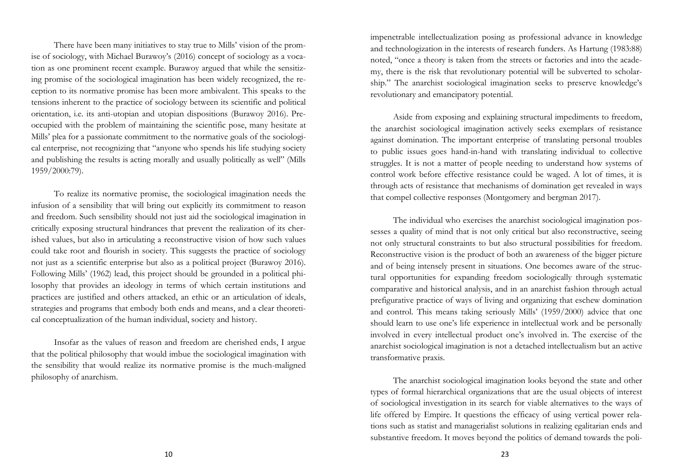There have been many initiatives to stay true to Mills' vision of the promise of sociology, with Michael Burawoy's (2016) concept of sociology as a vocation as one prominent recent example. Burawoy argued that while the sensitizing promise of the sociological imagination has been widely recognized, the reception to its normative promise has been more ambivalent. This speaks to the tensions inherent to the practice of sociology between its scientific and political orientation, i.e. its anti-utopian and utopian dispositions (Burawoy 2016). Preoccupied with the problem of maintaining the scientific pose, many hesitate at Mills' plea for a passionate commitment to the normative goals of the sociological enterprise, not recognizing that "anyone who spends his life studying society and publishing the results is acting morally and usually politically as well" (Mills 1959/2000:79).

To realize its normative promise, the sociological imagination needs the infusion of a sensibility that will bring out explicitly its commitment to reason and freedom. Such sensibility should not just aid the sociological imagination in critically exposing structural hindrances that prevent the realization of its cherished values, but also in articulating a reconstructive vision of how such values could take root and flourish in society. This suggests the practice of sociology not just as a scientific enterprise but also as a political project (Burawoy 2016). Following Mills' (1962) lead, this project should be grounded in a political philosophy that provides an ideology in terms of which certain institutions and practices are justified and others attacked, an ethic or an articulation of ideals, strategies and programs that embody both ends and means, and a clear theoretical conceptualization of the human individual, society and history.

Insofar as the values of reason and freedom are cherished ends, I argue that the political philosophy that would imbue the sociological imagination with the sensibility that would realize its normative promise is the much-maligned philosophy of anarchism.

impenetrable intellectualization posing as professional advance in knowledge and technologization in the interests of research funders. As Hartung (1983:88) noted, "once a theory is taken from the streets or factories and into the academy, there is the risk that revolutionary potential will be subverted to scholarship." The anarchist sociological imagination seeks to preserve knowledge's revolutionary and emancipatory potential.

Aside from exposing and explaining structural impediments to freedom, the anarchist sociological imagination actively seeks exemplars of resistance against domination. The important enterprise of translating personal troubles to public issues goes hand-in-hand with translating individual to collective struggles. It is not a matter of people needing to understand how systems of control work before effective resistance could be waged. A lot of times, it is through acts of resistance that mechanisms of domination get revealed in ways that compel collective responses (Montgomery and bergman 2017).

The individual who exercises the anarchist sociological imagination possesses a quality of mind that is not only critical but also reconstructive, seeing not only structural constraints to but also structural possibilities for freedom. Reconstructive vision is the product of both an awareness of the bigger picture and of being intensely present in situations. One becomes aware of the structural opportunities for expanding freedom sociologically through systematic comparative and historical analysis, and in an anarchist fashion through actual prefigurative practice of ways of living and organizing that eschew domination and control. This means taking seriously Mills' (1959/2000) advice that one should learn to use one's life experience in intellectual work and be personally involved in every intellectual product one's involved in. The exercise of the anarchist sociological imagination is not a detached intellectualism but an active transformative praxis.

The anarchist sociological imagination looks beyond the state and other types of formal hierarchical organizations that are the usual objects of interest of sociological investigation in its search for viable alternatives to the ways of life offered by Empire. It questions the efficacy of using vertical power relations such as statist and managerialist solutions in realizing egalitarian ends and substantive freedom. It moves beyond the politics of demand towards the poli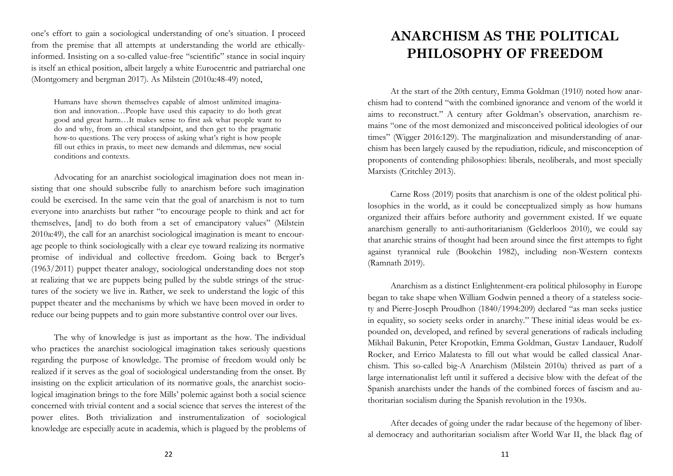one's effort to gain a sociological understanding of one's situation. I proceed from the premise that all attempts at understanding the world are ethicallyinformed. Insisting on a so-called value-free "scientific" stance in social inquiry is itself an ethical position, albeit largely a white Eurocentric and patriarchal one (Montgomery and bergman 2017). As Milstein (2010a:48-49) noted,

Humans have shown themselves capable of almost unlimited imagination and innovation…People have used this capacity to do both great good and great harm…It makes sense to first ask what people want to do and why, from an ethical standpoint, and then get to the pragmatic how-to questions. The very process of asking what's right is how people fill out ethics in praxis, to meet new demands and dilemmas, new social conditions and contexts.

Advocating for an anarchist sociological imagination does not mean insisting that one should subscribe fully to anarchism before such imagination could be exercised. In the same vein that the goal of anarchism is not to turn everyone into anarchists but rather "to encourage people to think and act for themselves, [and] to do both from a set of emancipatory values" (Milstein 2010a:49), the call for an anarchist sociological imagination is meant to encourage people to think sociologically with a clear eye toward realizing its normative promise of individual and collective freedom. Going back to Berger's (1963/2011) puppet theater analogy, sociological understanding does not stop at realizing that we are puppets being pulled by the subtle strings of the structures of the society we live in. Rather, we seek to understand the logic of this puppet theater and the mechanisms by which we have been moved in order to reduce our being puppets and to gain more substantive control over our lives.

The why of knowledge is just as important as the how. The individual who practices the anarchist sociological imagination takes seriously questions regarding the purpose of knowledge. The promise of freedom would only be realized if it serves as the goal of sociological understanding from the onset. By insisting on the explicit articulation of its normative goals, the anarchist sociological imagination brings to the fore Mills' polemic against both a social science concerned with trivial content and a social science that serves the interest of the power elites. Both trivialization and instrumentalization of sociological knowledge are especially acute in academia, which is plagued by the problems of

# **ANARCHISM AS THE POLITICAL PHILOSOPHY OF FREEDOM**

At the start of the 20th century, Emma Goldman (1910) noted how anarchism had to contend "with the combined ignorance and venom of the world it aims to reconstruct." A century after Goldman's observation, anarchism remains "one of the most demonized and misconceived political ideologies of our times" (Wigger 2016:129). The marginalization and misunderstanding of anarchism has been largely caused by the repudiation, ridicule, and misconception of proponents of contending philosophies: liberals, neoliberals, and most specially Marxists (Critchley 2013).

Carne Ross (2019) posits that anarchism is one of the oldest political philosophies in the world, as it could be conceptualized simply as how humans organized their affairs before authority and government existed. If we equate anarchism generally to anti-authoritarianism (Gelderloos 2010), we could say that anarchic strains of thought had been around since the first attempts to fight against tyrannical rule (Bookchin 1982), including non-Western contexts (Ramnath 2019).

Anarchism as a distinct Enlightenment-era political philosophy in Europe began to take shape when William Godwin penned a theory of a stateless society and Pierre-Joseph Proudhon (1840/1994:209) declared "as man seeks justice in equality, so society seeks order in anarchy." These initial ideas would be expounded on, developed, and refined by several generations of radicals including Mikhail Bakunin, Peter Kropotkin, Emma Goldman, Gustav Landauer, Rudolf Rocker, and Errico Malatesta to fill out what would be called classical Anarchism. This so-called big-A Anarchism (Milstein 2010a) thrived as part of a large internationalist left until it suffered a decisive blow with the defeat of the Spanish anarchists under the hands of the combined forces of fascism and authoritarian socialism during the Spanish revolution in the 1930s.

After decades of going under the radar because of the hegemony of liberal democracy and authoritarian socialism after World War II, the black flag of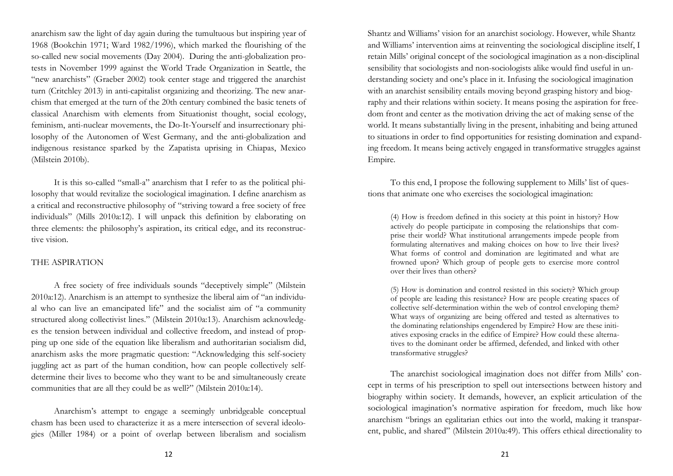anarchism saw the light of day again during the tumultuous but inspiring year of 1968 (Bookchin 1971; Ward 1982/1996), which marked the flourishing of the so-called new social movements (Day 2004). During the anti-globalization protests in November 1999 against the World Trade Organization in Seattle, the "new anarchists" (Graeber 2002) took center stage and triggered the anarchist turn (Critchley 2013) in anti-capitalist organizing and theorizing. The new anarchism that emerged at the turn of the 20th century combined the basic tenets of classical Anarchism with elements from Situationist thought, social ecology, feminism, anti-nuclear movements, the Do-It-Yourself and insurrectionary philosophy of the Autonomen of West Germany, and the anti-globalization and indigenous resistance sparked by the Zapatista uprising in Chiapas, Mexico (Milstein 2010b).

It is this so-called "small-a" anarchism that I refer to as the political philosophy that would revitalize the sociological imagination. I define anarchism as a critical and reconstructive philosophy of "striving toward a free society of free individuals" (Mills 2010a:12). I will unpack this definition by elaborating on three elements: the philosophy's aspiration, its critical edge, and its reconstructive vision.

## THE ASPIRATION

A free society of free individuals sounds "deceptively simple" (Milstein 2010a:12). Anarchism is an attempt to synthesize the liberal aim of "an individual who can live an emancipated life" and the socialist aim of "a community structured along collectivist lines." (Milstein 2010a:13). Anarchism acknowledges the tension between individual and collective freedom, and instead of propping up one side of the equation like liberalism and authoritarian socialism did, anarchism asks the more pragmatic question: "Acknowledging this self-society juggling act as part of the human condition, how can people collectively selfdetermine their lives to become who they want to be and simultaneously create communities that are all they could be as well?" (Milstein 2010a:14).

Anarchism's attempt to engage a seemingly unbridgeable conceptual chasm has been used to characterize it as a mere intersection of several ideologies (Miller 1984) or a point of overlap between liberalism and socialism Shantz and Williams' vision for an anarchist sociology. However, while Shantz and Williams' intervention aims at reinventing the sociological discipline itself, I retain Mills' original concept of the sociological imagination as a non-disciplinal sensibility that sociologists and non-sociologists alike would find useful in understanding society and one's place in it. Infusing the sociological imagination with an anarchist sensibility entails moving beyond grasping history and biography and their relations within society. It means posing the aspiration for freedom front and center as the motivation driving the act of making sense of the world. It means substantially living in the present, inhabiting and being attuned to situations in order to find opportunities for resisting domination and expanding freedom. It means being actively engaged in transformative struggles against Empire.

To this end, I propose the following supplement to Mills' list of questions that animate one who exercises the sociological imagination:

(4) How is freedom defined in this society at this point in history? How actively do people participate in composing the relationships that comprise their world? What institutional arrangements impede people from formulating alternatives and making choices on how to live their lives? What forms of control and domination are legitimated and what are frowned upon? Which group of people gets to exercise more control over their lives than others?

(5) How is domination and control resisted in this society? Which group of people are leading this resistance? How are people creating spaces of collective self-determination within the web of control enveloping them? What ways of organizing are being offered and tested as alternatives to the dominating relationships engendered by Empire? How are these initiatives exposing cracks in the edifice of Empire? How could these alternatives to the dominant order be affirmed, defended, and linked with other transformative struggles?

The anarchist sociological imagination does not differ from Mills' concept in terms of his prescription to spell out intersections between history and biography within society. It demands, however, an explicit articulation of the sociological imagination's normative aspiration for freedom, much like how anarchism "brings an egalitarian ethics out into the world, making it transparent, public, and shared" (Milstein 2010a:49). This offers ethical directionality to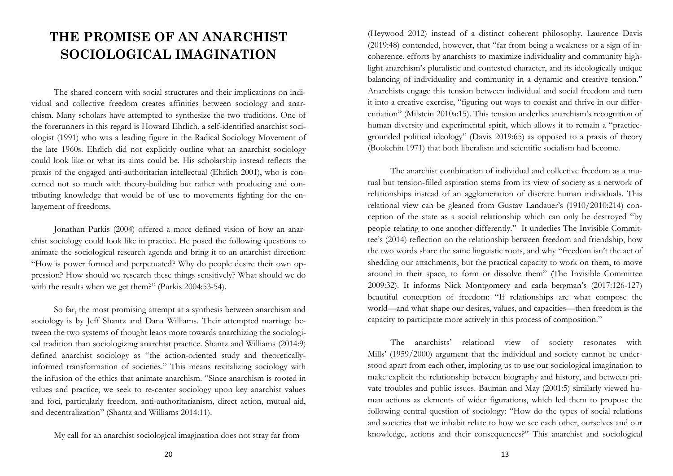# **THE PROMISE OF AN ANARCHIST SOCIOLOGICAL IMAGINATION**

The shared concern with social structures and their implications on individual and collective freedom creates affinities between sociology and anarchism. Many scholars have attempted to synthesize the two traditions. One of the forerunners in this regard is Howard Ehrlich, a self-identified anarchist sociologist (1991) who was a leading figure in the Radical Sociology Movement of the late 1960s. Ehrlich did not explicitly outline what an anarchist sociology could look like or what its aims could be. His scholarship instead reflects the praxis of the engaged anti-authoritarian intellectual (Ehrlich 2001), who is concerned not so much with theory-building but rather with producing and contributing knowledge that would be of use to movements fighting for the enlargement of freedoms.

Jonathan Purkis (2004) offered a more defined vision of how an anarchist sociology could look like in practice. He posed the following questions to animate the sociological research agenda and bring it to an anarchist direction: "How is power formed and perpetuated? Why do people desire their own oppression? How should we research these things sensitively? What should we do with the results when we get them?" (Purkis 2004:53-54).

So far, the most promising attempt at a synthesis between anarchism and sociology is by Jeff Shantz and Dana Williams. Their attempted marriage between the two systems of thought leans more towards anarchizing the sociological tradition than sociologizing anarchist practice. Shantz and Williams (2014:9) defined anarchist sociology as "the action-oriented study and theoreticallyinformed transformation of societies." This means revitalizing sociology with the infusion of the ethics that animate anarchism. "Since anarchism is rooted in values and practice, we seek to re-center sociology upon key anarchist values and foci, particularly freedom, anti-authoritarianism, direct action, mutual aid, and decentralization" (Shantz and Williams 2014:11).

My call for an anarchist sociological imagination does not stray far from

(Heywood 2012) instead of a distinct coherent philosophy. Laurence Davis (2019:48) contended, however, that "far from being a weakness or a sign of incoherence, efforts by anarchists to maximize individuality and community highlight anarchism's pluralistic and contested character, and its ideologically unique balancing of individuality and community in a dynamic and creative tension." Anarchists engage this tension between individual and social freedom and turn it into a creative exercise, "figuring out ways to coexist and thrive in our differentiation" (Milstein 2010a:15). This tension underlies anarchism's recognition of human diversity and experimental spirit, which allows it to remain a "practicegrounded political ideology" (Davis 2019:65) as opposed to a praxis of theory (Bookchin 1971) that both liberalism and scientific socialism had become.

The anarchist combination of individual and collective freedom as a mutual but tension-filled aspiration stems from its view of society as a network of relationships instead of an agglomeration of discrete human individuals. This relational view can be gleaned from Gustav Landauer's (1910/2010:214) conception of the state as a social relationship which can only be destroyed "by people relating to one another differently." It underlies The Invisible Committee's (2014) reflection on the relationship between freedom and friendship, how the two words share the same linguistic roots, and why "freedom isn't the act of shedding our attachments, but the practical capacity to work on them, to move around in their space, to form or dissolve them" (The Invisible Committee 2009:32). It informs Nick Montgomery and carla bergman's (2017:126-127) beautiful conception of freedom: "If relationships are what compose the world—and what shape our desires, values, and capacities—then freedom is the capacity to participate more actively in this process of composition."

The anarchists' relational view of society resonates with Mills' (1959/2000) argument that the individual and society cannot be understood apart from each other, imploring us to use our sociological imagination to make explicit the relationship between biography and history, and between private troubles and public issues. Bauman and May (2001:5) similarly viewed human actions as elements of wider figurations, which led them to propose the following central question of sociology: "How do the types of social relations and societies that we inhabit relate to how we see each other, ourselves and our knowledge, actions and their consequences?" This anarchist and sociological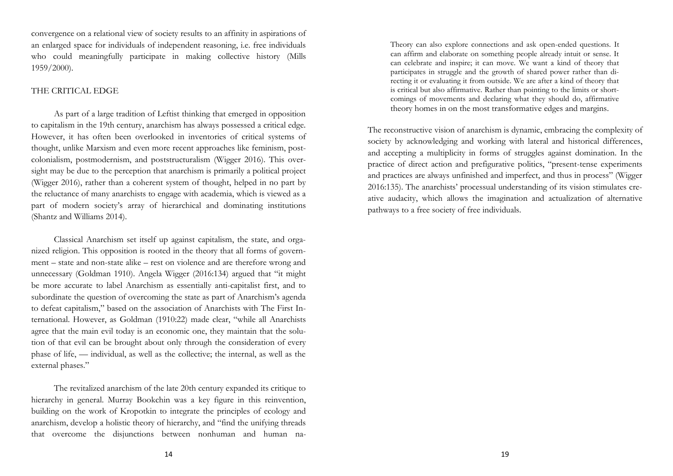convergence on a relational view of society results to an affinity in aspirations of an enlarged space for individuals of independent reasoning, i.e. free individuals who could meaningfully participate in making collective history (Mills 1959/2000).

## THE CRITICAL EDGE

As part of a large tradition of Leftist thinking that emerged in opposition to capitalism in the 19th century, anarchism has always possessed a critical edge. However, it has often been overlooked in inventories of critical systems of thought, unlike Marxism and even more recent approaches like feminism, postcolonialism, postmodernism, and poststructuralism (Wigger 2016). This oversight may be due to the perception that anarchism is primarily a political project (Wigger 2016), rather than a coherent system of thought, helped in no part by the reluctance of many anarchists to engage with academia, which is viewed as a part of modern society's array of hierarchical and dominating institutions (Shantz and Williams 2014).

Classical Anarchism set itself up against capitalism, the state, and organized religion. This opposition is rooted in the theory that all forms of government – state and non-state alike – rest on violence and are therefore wrong and unnecessary (Goldman 1910). Angela Wigger (2016:134) argued that "it might be more accurate to label Anarchism as essentially anti-capitalist first, and to subordinate the question of overcoming the state as part of Anarchism's agenda to defeat capitalism," based on the association of Anarchists with The First International. However, as Goldman (1910:22) made clear, "while all Anarchists agree that the main evil today is an economic one, they maintain that the solution of that evil can be brought about only through the consideration of every phase of life, — individual, as well as the collective; the internal, as well as the external phases."

The revitalized anarchism of the late 20th century expanded its critique to hierarchy in general. Murray Bookchin was a key figure in this reinvention, building on the work of Kropotkin to integrate the principles of ecology and anarchism, develop a holistic theory of hierarchy, and "find the unifying threads that overcome the disjunctions between nonhuman and human na-

Theory can also explore connections and ask open-ended questions. It can affirm and elaborate on something people already intuit or sense. It can celebrate and inspire; it can move. We want a kind of theory that participates in struggle and the growth of shared power rather than directing it or evaluating it from outside. We are after a kind of theory that is critical but also affirmative. Rather than pointing to the limits or shortcomings of movements and declaring what they should do, affirmative theory homes in on the most transformative edges and margins.

The reconstructive vision of anarchism is dynamic, embracing the complexity of society by acknowledging and working with lateral and historical differences, and accepting a multiplicity in forms of struggles against domination. In the practice of direct action and prefigurative politics, "present-tense experiments and practices are always unfinished and imperfect, and thus in process" (Wigger 2016:135). The anarchists' processual understanding of its vision stimulates creative audacity, which allows the imagination and actualization of alternative pathways to a free society of free individuals.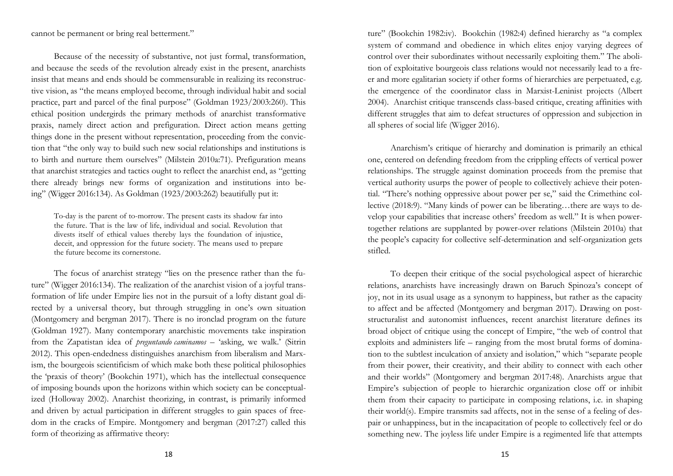cannot be permanent or bring real betterment."

Because of the necessity of substantive, not just formal, transformation, and because the seeds of the revolution already exist in the present, anarchists insist that means and ends should be commensurable in realizing its reconstructive vision, as "the means employed become, through individual habit and social practice, part and parcel of the final purpose" (Goldman 1923/2003:260). This ethical position undergirds the primary methods of anarchist transformative praxis, namely direct action and prefiguration. Direct action means getting things done in the present without representation, proceeding from the conviction that "the only way to build such new social relationships and institutions is to birth and nurture them ourselves" (Milstein 2010a:71). Prefiguration means that anarchist strategies and tactics ought to reflect the anarchist end, as "getting there already brings new forms of organization and institutions into being" (Wigger 2016:134). As Goldman (1923/2003:262) beautifully put it:

To-day is the parent of to-morrow. The present casts its shadow far into the future. That is the law of life, individual and social. Revolution that divests itself of ethical values thereby lays the foundation of injustice, deceit, and oppression for the future society. The means used to prepare the future become its cornerstone.

The focus of anarchist strategy "lies on the presence rather than the future" (Wigger 2016:134). The realization of the anarchist vision of a joyful transformation of life under Empire lies not in the pursuit of a lofty distant goal directed by a universal theory, but through struggling in one's own situation (Montgomery and bergman 2017). There is no ironclad program on the future (Goldman 1927). Many contemporary anarchistic movements take inspiration from the Zapatistan idea of *preguntando caminamos* – 'asking, we walk.' (Sitrin 2012). This open-endedness distinguishes anarchism from liberalism and Marxism, the bourgeois scientificism of which make both these political philosophies the 'praxis of theory' (Bookchin 1971), which has the intellectual consequence of imposing bounds upon the horizons within which society can be conceptualized (Holloway 2002). Anarchist theorizing, in contrast, is primarily informed and driven by actual participation in different struggles to gain spaces of freedom in the cracks of Empire. Montgomery and bergman (2017:27) called this form of theorizing as affirmative theory:

ture" (Bookchin 1982:iv). Bookchin (1982:4) defined hierarchy as "a complex system of command and obedience in which elites enjoy varying degrees of control over their subordinates without necessarily exploiting them." The abolition of exploitative bourgeois class relations would not necessarily lead to a freer and more egalitarian society if other forms of hierarchies are perpetuated, e.g. the emergence of the coordinator class in Marxist-Leninist projects (Albert 2004). Anarchist critique transcends class-based critique, creating affinities with different struggles that aim to defeat structures of oppression and subjection in all spheres of social life (Wigger 2016).

Anarchism's critique of hierarchy and domination is primarily an ethical one, centered on defending freedom from the crippling effects of vertical power relationships. The struggle against domination proceeds from the premise that vertical authority usurps the power of people to collectively achieve their potential. "There's nothing oppressive about power per se," said the Crimethinc collective (2018:9). "Many kinds of power can be liberating…there are ways to develop your capabilities that increase others' freedom as well." It is when powertogether relations are supplanted by power-over relations (Milstein 2010a) that the people's capacity for collective self-determination and self-organization gets stifled.

To deepen their critique of the social psychological aspect of hierarchic relations, anarchists have increasingly drawn on Baruch Spinoza's concept of joy, not in its usual usage as a synonym to happiness, but rather as the capacity to affect and be affected (Montgomery and bergman 2017). Drawing on poststructuralist and autonomist influences, recent anarchist literature defines its broad object of critique using the concept of Empire, "the web of control that exploits and administers life – ranging from the most brutal forms of domination to the subtlest inculcation of anxiety and isolation," which "separate people from their power, their creativity, and their ability to connect with each other and their worlds" (Montgomery and bergman 2017:48). Anarchists argue that Empire's subjection of people to hierarchic organization close off or inhibit them from their capacity to participate in composing relations, i.e. in shaping their world(s). Empire transmits sad affects, not in the sense of a feeling of despair or unhappiness, but in the incapacitation of people to collectively feel or do something new. The joyless life under Empire is a regimented life that attempts